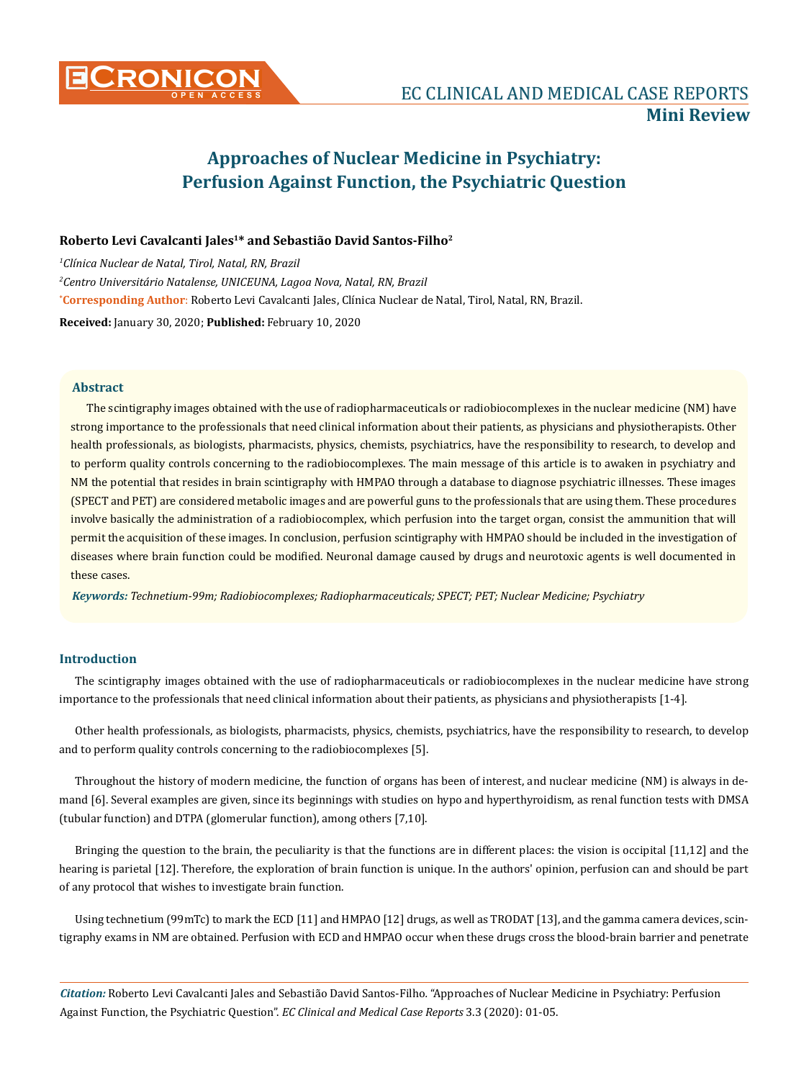

# **Approaches of Nuclear Medicine in Psychiatry: Perfusion Against Function, the Psychiatric Question**

# **Roberto Levi Cavalcanti Jales1\* and Sebastião David Santos-Filho2**

**\* Corresponding Author**: Roberto Levi Cavalcanti Jales, Clínica Nuclear de Natal, Tirol, Natal, RN, Brazil. **Received:** January 30, 2020; **Published:** February 10, 2020 *1 Clínica Nuclear de Natal, Tirol, Natal, RN, Brazil 2 Centro Universitário Natalense, UNICEUNA, Lagoa Nova, Natal, RN, Brazil* 

#### **Abstract**

The scintigraphy images obtained with the use of radiopharmaceuticals or radiobiocomplexes in the nuclear medicine (NM) have strong importance to the professionals that need clinical information about their patients, as physicians and physiotherapists. Other health professionals, as biologists, pharmacists, physics, chemists, psychiatrics, have the responsibility to research, to develop and to perform quality controls concerning to the radiobiocomplexes. The main message of this article is to awaken in psychiatry and NM the potential that resides in brain scintigraphy with HMPAO through a database to diagnose psychiatric illnesses. These images (SPECT and PET) are considered metabolic images and are powerful guns to the professionals that are using them. These procedures involve basically the administration of a radiobiocomplex, which perfusion into the target organ, consist the ammunition that will permit the acquisition of these images. In conclusion, perfusion scintigraphy with HMPAO should be included in the investigation of diseases where brain function could be modified. Neuronal damage caused by drugs and neurotoxic agents is well documented in these cases.

*Keywords: Technetium-99m; Radiobiocomplexes; Radiopharmaceuticals; SPECT; PET; Nuclear Medicine; Psychiatry*

#### **Introduction**

The scintigraphy images obtained with the use of radiopharmaceuticals or radiobiocomplexes in the nuclear medicine have strong importance to the professionals that need clinical information about their patients, as physicians and physiotherapists [1-4].

Other health professionals, as biologists, pharmacists, physics, chemists, psychiatrics, have the responsibility to research, to develop and to perform quality controls concerning to the radiobiocomplexes [5].

Throughout the history of modern medicine, the function of organs has been of interest, and nuclear medicine (NM) is always in demand [6]. Several examples are given, since its beginnings with studies on hypo and hyperthyroidism, as renal function tests with DMSA (tubular function) and DTPA (glomerular function), among others [7,10].

Bringing the question to the brain, the peculiarity is that the functions are in different places: the vision is occipital [11,12] and the hearing is parietal [12]. Therefore, the exploration of brain function is unique. In the authors' opinion, perfusion can and should be part of any protocol that wishes to investigate brain function.

Using technetium (99mTc) to mark the ECD [11] and HMPAO [12] drugs, as well as TRODAT [13], and the gamma camera devices, scintigraphy exams in NM are obtained. Perfusion with ECD and HMPAO occur when these drugs cross the blood-brain barrier and penetrate

*Citation:* Roberto Levi Cavalcanti Jales and Sebastião David Santos-Filho*.* "Approaches of Nuclear Medicine in Psychiatry: Perfusion Against Function, the Psychiatric Question". *EC Clinical and Medical Case Reports* 3.3 (2020): 01-05.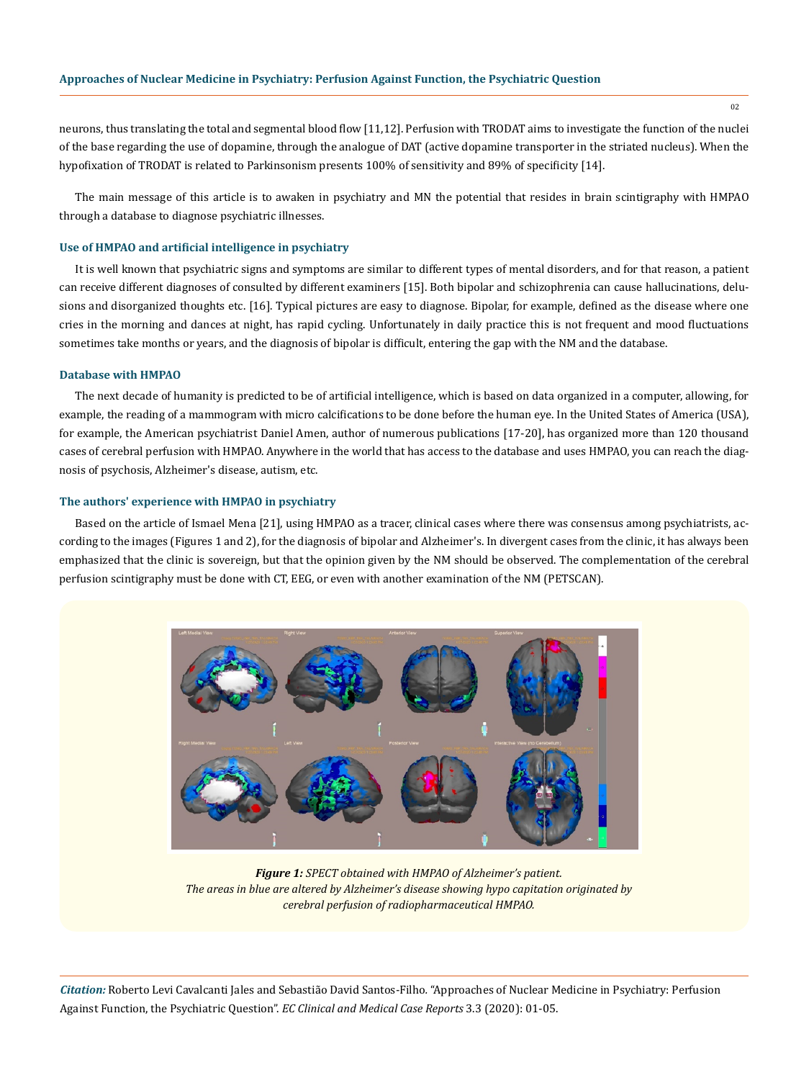neurons, thus translating the total and segmental blood flow [11,12]. Perfusion with TRODAT aims to investigate the function of the nuclei of the base regarding the use of dopamine, through the analogue of DAT (active dopamine transporter in the striated nucleus). When the hypofixation of TRODAT is related to Parkinsonism presents 100% of sensitivity and 89% of specificity [14].

The main message of this article is to awaken in psychiatry and MN the potential that resides in brain scintigraphy with HMPAO through a database to diagnose psychiatric illnesses.

#### **Use of HMPAO and artificial intelligence in psychiatry**

It is well known that psychiatric signs and symptoms are similar to different types of mental disorders, and for that reason, a patient can receive different diagnoses of consulted by different examiners [15]. Both bipolar and schizophrenia can cause hallucinations, delusions and disorganized thoughts etc. [16]. Typical pictures are easy to diagnose. Bipolar, for example, defined as the disease where one cries in the morning and dances at night, has rapid cycling. Unfortunately in daily practice this is not frequent and mood fluctuations sometimes take months or years, and the diagnosis of bipolar is difficult, entering the gap with the NM and the database.

#### **Database with HMPAO**

The next decade of humanity is predicted to be of artificial intelligence, which is based on data organized in a computer, allowing, for example, the reading of a mammogram with micro calcifications to be done before the human eye. In the United States of America (USA), for example, the American psychiatrist Daniel Amen, author of numerous publications [17-20], has organized more than 120 thousand cases of cerebral perfusion with HMPAO. Anywhere in the world that has access to the database and uses HMPAO, you can reach the diagnosis of psychosis, Alzheimer's disease, autism, etc.

#### **The authors' experience with HMPAO in psychiatry**

Based on the article of Ismael Mena [21], using HMPAO as a tracer, clinical cases where there was consensus among psychiatrists, according to the images (Figures 1 and 2), for the diagnosis of bipolar and Alzheimer's. In divergent cases from the clinic, it has always been emphasized that the clinic is sovereign, but that the opinion given by the NM should be observed. The complementation of the cerebral perfusion scintigraphy must be done with CT, EEG, or even with another examination of the NM (PETSCAN).



*Figure 1: SPECT obtained with HMPAO of Alzheimer's patient. The areas in blue are altered by Alzheimer's disease showing hypo capitation originated by cerebral perfusion of radiopharmaceutical HMPAO.* 

*Citation:* Roberto Levi Cavalcanti Jales and Sebastião David Santos-Filho*.* "Approaches of Nuclear Medicine in Psychiatry: Perfusion Against Function, the Psychiatric Question". *EC Clinical and Medical Case Reports* 3.3 (2020): 01-05.

02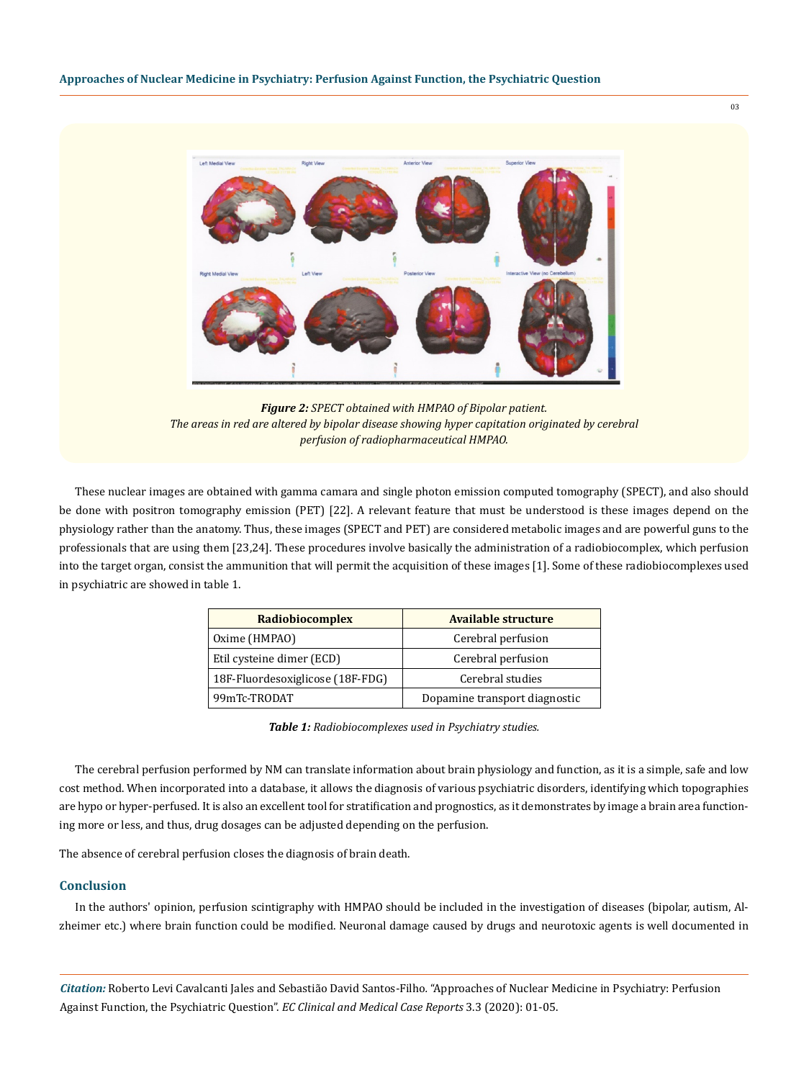

*Figure 2: SPECT obtained with HMPAO of Bipolar patient. The areas in red are altered by bipolar disease showing hyper capitation originated by cerebral perfusion of radiopharmaceutical HMPAO.* 

These nuclear images are obtained with gamma camara and single photon emission computed tomography (SPECT), and also should be done with positron tomography emission (PET) [22]. A relevant feature that must be understood is these images depend on the physiology rather than the anatomy. Thus, these images (SPECT and PET) are considered metabolic images and are powerful guns to the professionals that are using them [23,24]. These procedures involve basically the administration of a radiobiocomplex, which perfusion into the target organ, consist the ammunition that will permit the acquisition of these images [1]. Some of these radiobiocomplexes used in psychiatric are showed in table 1.

| Radiobiocomplex                  | Available structure           |
|----------------------------------|-------------------------------|
| Oxime (HMPAO)                    | Cerebral perfusion            |
| Etil cysteine dimer (ECD)        | Cerebral perfusion            |
| 18F-Fluordesoxiglicose (18F-FDG) | Cerebral studies              |
| 99mTc-TRODAT                     | Dopamine transport diagnostic |

| Table 1: Radiobiocomplexes used in Psychiatry studies. |
|--------------------------------------------------------|
|--------------------------------------------------------|

The cerebral perfusion performed by NM can translate information about brain physiology and function, as it is a simple, safe and low cost method. When incorporated into a database, it allows the diagnosis of various psychiatric disorders, identifying which topographies are hypo or hyper-perfused. It is also an excellent tool for stratification and prognostics, as it demonstrates by image a brain area functioning more or less, and thus, drug dosages can be adjusted depending on the perfusion.

The absence of cerebral perfusion closes the diagnosis of brain death.

#### **Conclusion**

In the authors' opinion, perfusion scintigraphy with HMPAO should be included in the investigation of diseases (bipolar, autism, Alzheimer etc.) where brain function could be modified. Neuronal damage caused by drugs and neurotoxic agents is well documented in

*Citation:* Roberto Levi Cavalcanti Jales and Sebastião David Santos-Filho*.* "Approaches of Nuclear Medicine in Psychiatry: Perfusion Against Function, the Psychiatric Question". *EC Clinical and Medical Case Reports* 3.3 (2020): 01-05.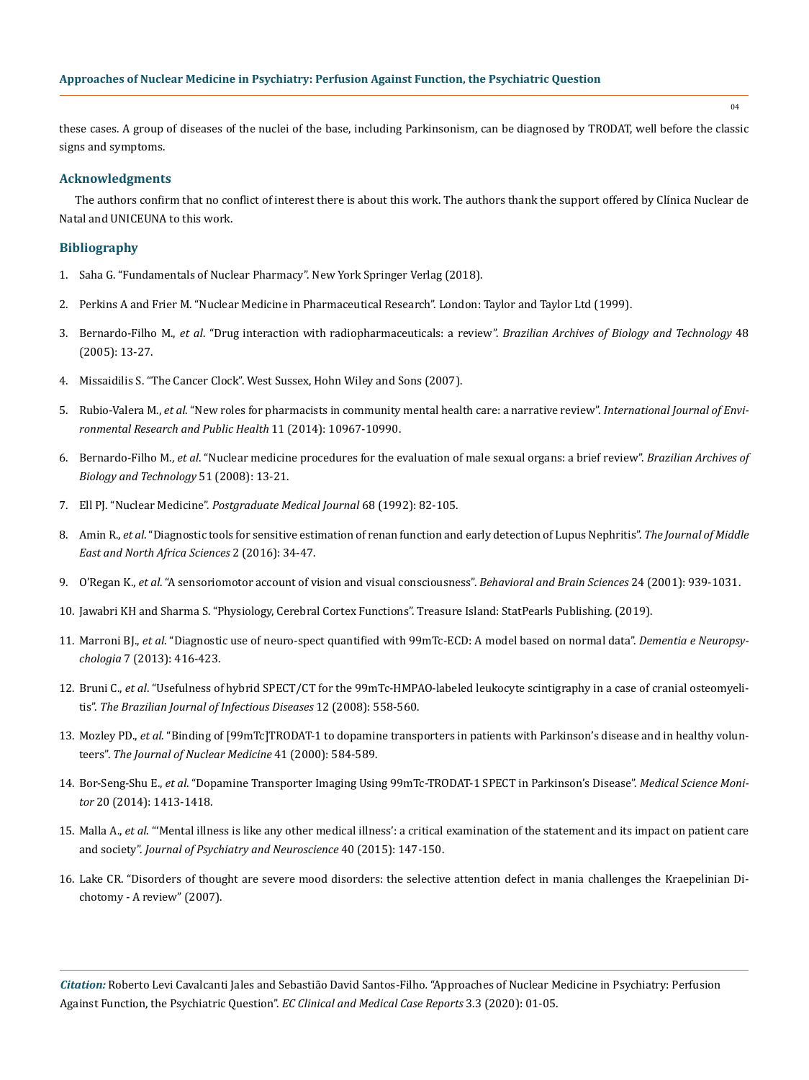these cases. A group of diseases of the nuclei of the base, including Parkinsonism, can be diagnosed by TRODAT, well before the classic signs and symptoms.

## **Acknowledgments**

The authors confirm that no conflict of interest there is about this work. The authors thank the support offered by Clínica Nuclear de Natal and UNICEUNA to this work.

# **Bibliography**

- 1. Saha G. "Fundamentals of Nuclear Pharmacy". New York Springer Verlag (2018).
- 2. Perkins A and Frier M. "Nuclear Medicine in Pharmaceutical Research". London: Taylor and Taylor Ltd (1999).
- 3. Bernardo-Filho M., *et al*[. "Drug interaction with radiopharmaceuticals: a review".](http://www.scielo.br/scielo.php?script=sci_arttext&pid=S1516-89132005000700003) *Brazilian Archives of Biology and Technology* 48 [\(2005\): 13-27.](http://www.scielo.br/scielo.php?script=sci_arttext&pid=S1516-89132005000700003)
- 4. Missaidilis S. "The Cancer Clock". West Sussex, Hohn Wiley and Sons (2007).
- 5. Rubio-Valera M., *et al*[. "New roles for pharmacists in community mental health care: a narrative review".](https://www.ncbi.nlm.nih.gov/pubmed/25337943) *International Journal of Envi[ronmental Research and Public Health](https://www.ncbi.nlm.nih.gov/pubmed/25337943)* 11 (2014): 10967-10990.
- 6. Bernardo-Filho M., *et al*[. "Nuclear medicine procedures for the evaluation of male sexual organs: a brief review".](http://www.scielo.br/scielo.php?script=sci_arttext&pid=S1516-89132008000700004) *Brazilian Archives of [Biology and Technology](http://www.scielo.br/scielo.php?script=sci_arttext&pid=S1516-89132008000700004)* 51 (2008): 13-21.
- 7. Ell PJ. "Nuclear Medicine". *Postgraduate Medical Journal* 68 (1992): 82-105.
- 8. Amin R., *et al*. "Diagnostic tools for sensitive estimation of renan function and early detection of Lupus Nephritis". *The Journal of Middle East and North Africa Sciences* 2 (2016): 34-47.
- 9. O'Regan K., *et al*[. "A sensoriomotor account of vision and visual consciousness".](https://www.ncbi.nlm.nih.gov/pubmed/12239892) *Behavioral and Brain Sciences* 24 (2001): 939-1031.
- 10. Jawabri KH and Sharma S. "Physiology, Cerebral Cortex Functions". Treasure Island: StatPearls Publishing. (2019).
- 11. Marroni BJ., *et al*[. "Diagnostic use of neuro-spect quantified with 99mTc-ECD: A model based on normal data".](https://www.ncbi.nlm.nih.gov/pmc/articles/PMC5619504/) *Dementia e Neuropsychologia* [7 \(2013\): 416-423.](https://www.ncbi.nlm.nih.gov/pmc/articles/PMC5619504/)
- 12. Bruni C., *et al*[. "Usefulness of hybrid SPECT/CT for the 99mTc-HMPAO-labeled leukocyte scintigraphy in a case of cranial osteomyeli](http://www.scielo.br/scielo.php?script=sci_arttext&pid=S1413-86702008000600027)tis". *[The Brazilian Journal of Infectious Diseases](http://www.scielo.br/scielo.php?script=sci_arttext&pid=S1413-86702008000600027)* 12 (2008): 558-560.
- 13. Mozley PD., *et al*[. "Binding of \[99mTc\]TRODAT-1 to dopamine transporters in patients with Parkinson's disease and in healthy volun](https://www.ncbi.nlm.nih.gov/pubmed/10768556)teers". *[The Journal of Nuclear Medicine](https://www.ncbi.nlm.nih.gov/pubmed/10768556)* 41 (2000): 584-589.
- 14. Bor-Seng-Shu E., *et al*[. "Dopamine Transporter Imaging Using 99mTc-TRODAT-1 SPECT in Parkinson's Disease".](https://www.ncbi.nlm.nih.gov/pubmed/25109468) *Medical Science Monitor* [20 \(2014\): 1413-1418.](https://www.ncbi.nlm.nih.gov/pubmed/25109468)
- 15. Malla A., *et al*[. "'Mental illness is like any other medical illness': a critical examination of the statement and its impact on patient care](https://www.ncbi.nlm.nih.gov/pmc/articles/PMC4409431/) and society". *[Journal of Psychiatry and Neuroscience](https://www.ncbi.nlm.nih.gov/pmc/articles/PMC4409431/)* 40 (2015): 147-150.
- 16. [Lake CR. "Disorders of thought are severe mood disorders: the selective attention defect in mania challenges the Kraepelinian Di](https://www.ncbi.nlm.nih.gov/pmc/articles/PMC2632389/)[chotomy - A review" \(2007\).](https://www.ncbi.nlm.nih.gov/pmc/articles/PMC2632389/)

*Citation:* Roberto Levi Cavalcanti Jales and Sebastião David Santos-Filho*.* "Approaches of Nuclear Medicine in Psychiatry: Perfusion Against Function, the Psychiatric Question". *EC Clinical and Medical Case Reports* 3.3 (2020): 01-05.

04